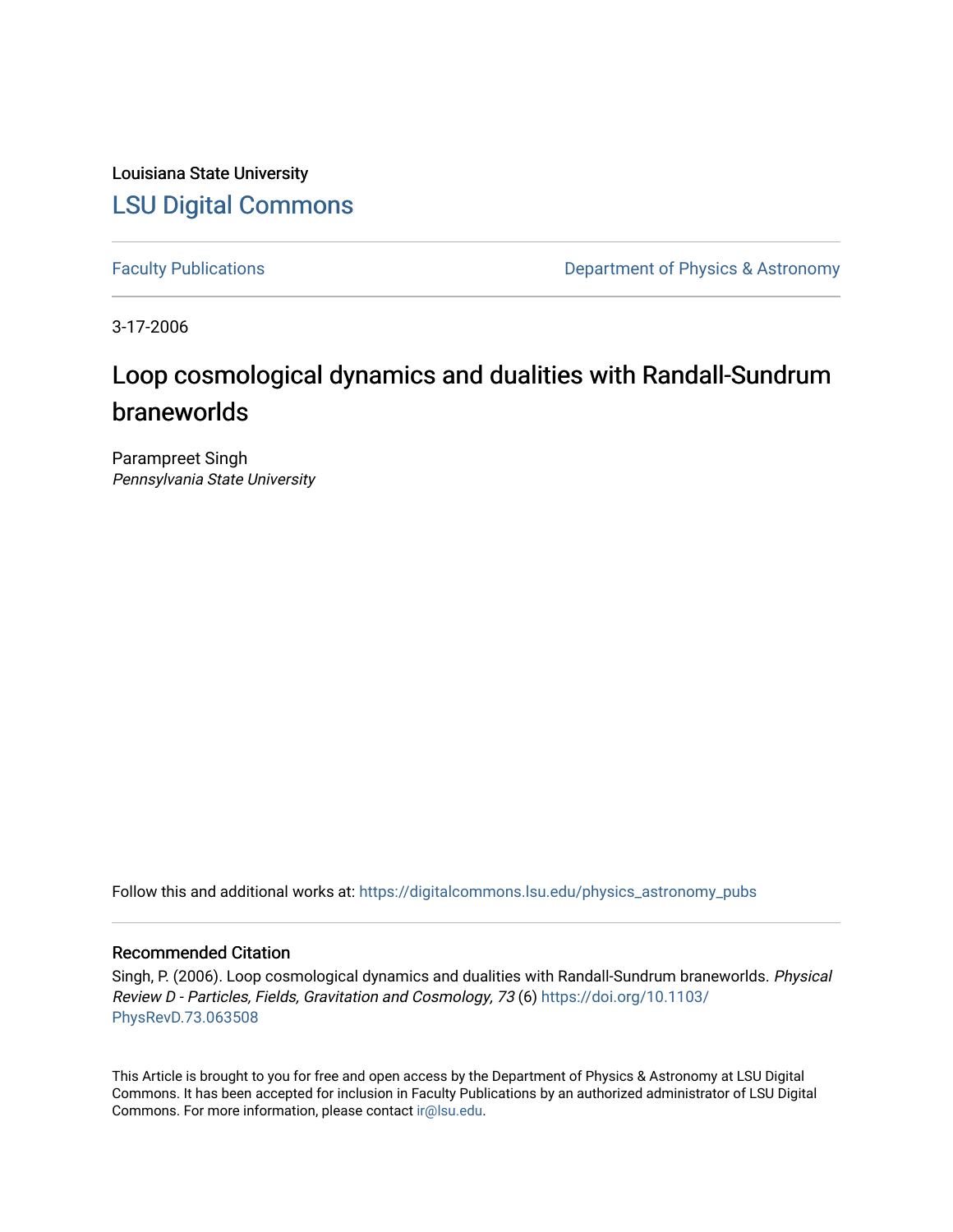Louisiana State University [LSU Digital Commons](https://digitalcommons.lsu.edu/)

[Faculty Publications](https://digitalcommons.lsu.edu/physics_astronomy_pubs) **Exercise 2** Constant Department of Physics & Astronomy

3-17-2006

# Loop cosmological dynamics and dualities with Randall-Sundrum braneworlds

Parampreet Singh Pennsylvania State University

Follow this and additional works at: [https://digitalcommons.lsu.edu/physics\\_astronomy\\_pubs](https://digitalcommons.lsu.edu/physics_astronomy_pubs?utm_source=digitalcommons.lsu.edu%2Fphysics_astronomy_pubs%2F5090&utm_medium=PDF&utm_campaign=PDFCoverPages) 

# Recommended Citation

Singh, P. (2006). Loop cosmological dynamics and dualities with Randall-Sundrum braneworlds. Physical Review D - Particles, Fields, Gravitation and Cosmology, 73 (6) [https://doi.org/10.1103/](https://doi.org/10.1103/PhysRevD.73.063508) [PhysRevD.73.063508](https://doi.org/10.1103/PhysRevD.73.063508)

This Article is brought to you for free and open access by the Department of Physics & Astronomy at LSU Digital Commons. It has been accepted for inclusion in Faculty Publications by an authorized administrator of LSU Digital Commons. For more information, please contact [ir@lsu.edu](mailto:ir@lsu.edu).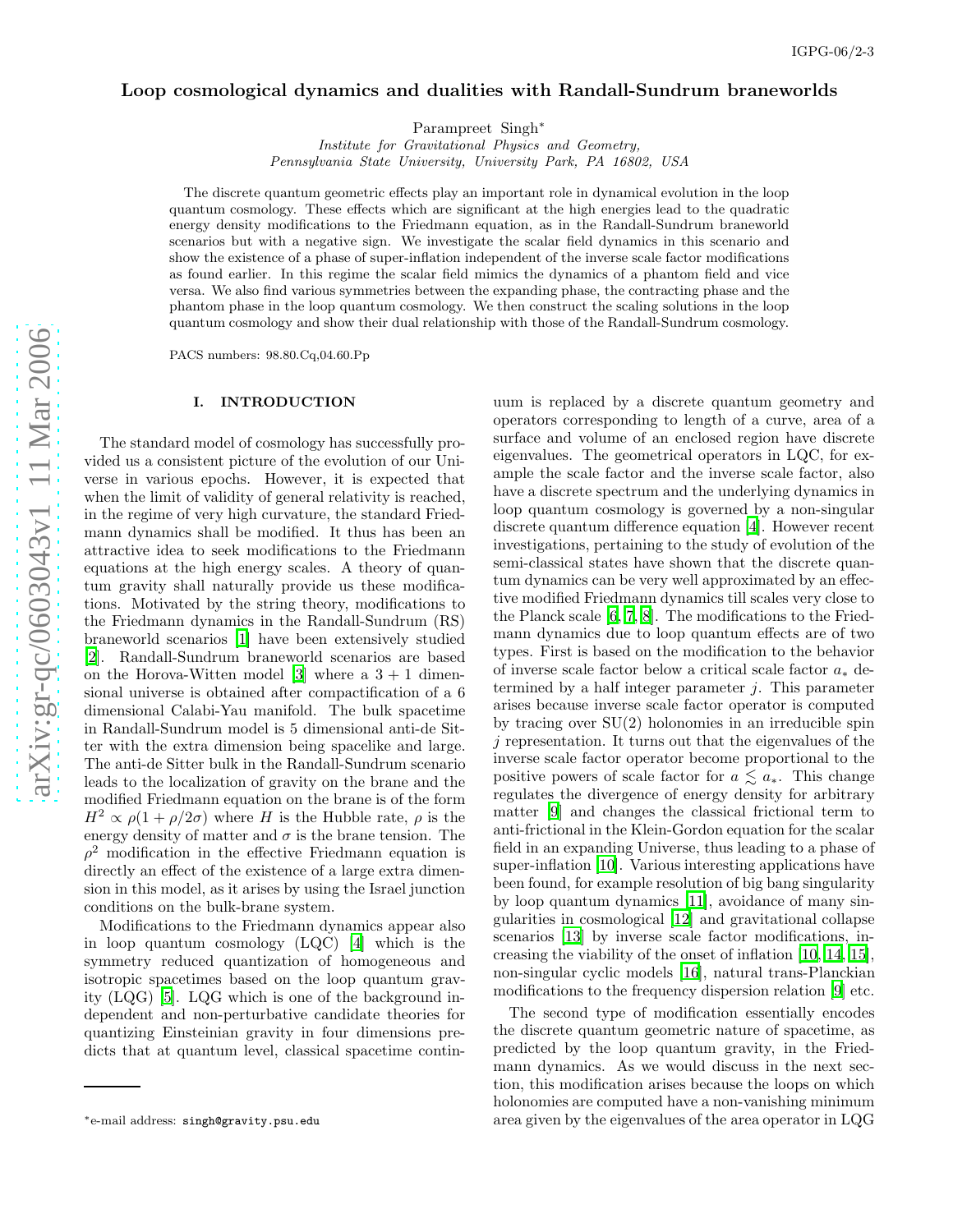# Loop cosmological dynamics and dualities with Randall-Sundrum braneworlds

Parampreet Singh<sup>\*</sup>

Institute for Gravitational Physics and Geometry, Pennsylvania State University, University Park, PA 16802, USA

The discrete quantum geometric effects play an important role in dynamical evolution in the loop quantum cosmology. These effects which are significant at the high energies lead to the quadratic energy density modifications to the Friedmann equation, as in the Randall-Sundrum braneworld scenarios but with a negative sign. We investigate the scalar field dynamics in this scenario and show the existence of a phase of super-inflation independent of the inverse scale factor modifications as found earlier. In this regime the scalar field mimics the dynamics of a phantom field and vice versa. We also find various symmetries between the expanding phase, the contracting phase and the phantom phase in the loop quantum cosmology. We then construct the scaling solutions in the loop quantum cosmology and show their dual relationship with those of the Randall-Sundrum cosmology.

PACS numbers: 98.80.Cq,04.60.Pp

## I. INTRODUCTION

The standard model of cosmology has successfully provided us a consistent picture of the evolution of our Universe in various epochs. However, it is expected that when the limit of validity of general relativity is reached, in the regime of very high curvature, the standard Friedmann dynamics shall be modified. It thus has been an attractive idea to seek modifications to the Friedmann equations at the high energy scales. A theory of quantum gravity shall naturally provide us these modifications. Motivated by the string theory, modifications to the Friedmann dynamics in the Randall-Sundrum (RS) braneworld scenarios [\[1\]](#page-9-0) have been extensively studied [\[2\]](#page-9-1). Randall-Sundrum braneworld scenarios are based on the Horova-Witten model [\[3\]](#page-9-2) where a  $3 + 1$  dimensional universe is obtained after compactification of a 6 dimensional Calabi-Yau manifold. The bulk spacetime in Randall-Sundrum model is 5 dimensional anti-de Sitter with the extra dimension being spacelike and large. The anti-de Sitter bulk in the Randall-Sundrum scenario leads to the localization of gravity on the brane and the modified Friedmann equation on the brane is of the form  $H^2 \propto \rho(1 + \rho/2\sigma)$  where H is the Hubble rate,  $\rho$  is the energy density of matter and  $\sigma$  is the brane tension. The  $\rho^2$  modification in the effective Friedmann equation is directly an effect of the existence of a large extra dimension in this model, as it arises by using the Israel junction conditions on the bulk-brane system.

Modifications to the Friedmann dynamics appear also in loop quantum cosmology (LQC) [\[4\]](#page-9-3) which is the symmetry reduced quantization of homogeneous and isotropic spacetimes based on the loop quantum gravity (LQG) [\[5](#page-9-4)]. LQG which is one of the background independent and non-perturbative candidate theories for quantizing Einsteinian gravity in four dimensions predicts that at quantum level, classical spacetime contin-

uum is replaced by a discrete quantum geometry and operators corresponding to length of a curve, area of a surface and volume of an enclosed region have discrete eigenvalues. The geometrical operators in LQC, for example the scale factor and the inverse scale factor, also have a discrete spectrum and the underlying dynamics in loop quantum cosmology is governed by a non-singular discrete quantum difference equation [\[4](#page-9-3)]. However recent investigations, pertaining to the study of evolution of the semi-classical states have shown that the discrete quantum dynamics can be very well approximated by an effective modified Friedmann dynamics till scales very close to the Planck scale [\[6,](#page-9-5) [7,](#page-9-6) [8\]](#page-9-7). The modifications to the Friedmann dynamics due to loop quantum effects are of two types. First is based on the modification to the behavior of inverse scale factor below a critical scale factor  $a_*$  determined by a half integer parameter  $j$ . This parameter arises because inverse scale factor operator is computed by tracing over SU(2) holonomies in an irreducible spin j representation. It turns out that the eigenvalues of the inverse scale factor operator become proportional to the positive powers of scale factor for  $a \lesssim a_*$ . This change regulates the divergence of energy density for arbitrary matter [\[9\]](#page-9-8) and changes the classical frictional term to anti-frictional in the Klein-Gordon equation for the scalar field in an expanding Universe, thus leading to a phase of super-inflation [\[10](#page-9-9)]. Various interesting applications have been found, for example resolution of big bang singularity by loop quantum dynamics [\[11\]](#page-9-10), avoidance of many singularities in cosmological [\[12](#page-9-11)] and gravitational collapse scenarios [\[13](#page-9-12)] by inverse scale factor modifications, increasing the viability of the onset of inflation [\[10](#page-9-9), [14,](#page-9-13) [15\]](#page-9-14), non-singular cyclic models [\[16](#page-9-15)], natural trans-Planckian modifications to the frequency dispersion relation [\[9\]](#page-9-8) etc.

The second type of modification essentially encodes the discrete quantum geometric nature of spacetime, as predicted by the loop quantum gravity, in the Friedmann dynamics. As we would discuss in the next section, this modification arises because the loops on which holonomies are computed have a non-vanishing minimum area given by the eigenvalues of the area operator in LQG

<sup>∗</sup>e-mail address: singh@gravity.psu.edu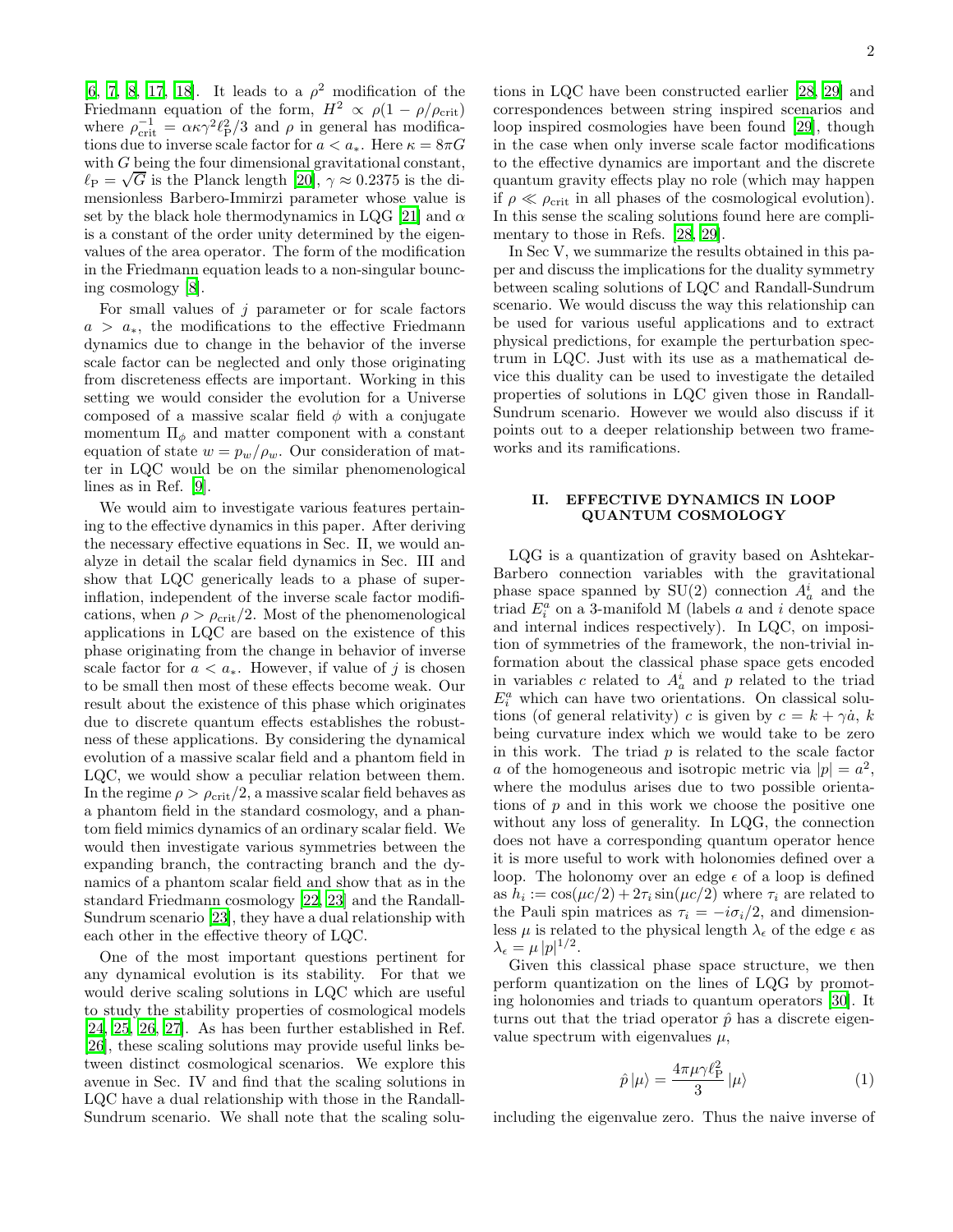[\[6,](#page-9-5) [7,](#page-9-6) [8](#page-9-7), [17](#page-9-16), [18](#page-9-17)]. It leads to a  $\rho^2$  modification of the Friedmann equation of the form,  $H^2 \propto \rho(1 - \rho/\rho_{\rm crit})$ where  $\rho_{\text{crit}}^{-1} = \alpha \kappa \gamma^2 \ell_P^2/3$  and  $\rho$  in general has modifications due to inverse scale factor for  $a < a_*$ . Here  $\kappa = 8\pi G$ with G being the four dimensional gravitational constant,  $\ell_P = \sqrt{G}$  is the Planck length [\[20\]](#page-9-18),  $\gamma \approx 0.2375$  is the dimensionless Barbero-Immirzi parameter whose value is set by the black hole thermodynamics in LQG [\[21](#page-9-19)] and  $\alpha$ is a constant of the order unity determined by the eigenvalues of the area operator. The form of the modification in the Friedmann equation leads to a non-singular bouncing cosmology [\[8](#page-9-7)].

For small values of  $j$  parameter or for scale factors  $a > a<sub>*</sub>$ , the modifications to the effective Friedmann dynamics due to change in the behavior of the inverse scale factor can be neglected and only those originating from discreteness effects are important. Working in this setting we would consider the evolution for a Universe composed of a massive scalar field  $\phi$  with a conjugate momentum  $\Pi_{\phi}$  and matter component with a constant equation of state  $w = p_w/\rho_w$ . Our consideration of matter in LQC would be on the similar phenomenological lines as in Ref. [\[9](#page-9-8)].

We would aim to investigate various features pertaining to the effective dynamics in this paper. After deriving the necessary effective equations in Sec. II, we would analyze in detail the scalar field dynamics in Sec. III and show that LQC generically leads to a phase of superinflation, independent of the inverse scale factor modifications, when  $\rho > \rho_{\rm crit}/2$ . Most of the phenomenological applications in LQC are based on the existence of this phase originating from the change in behavior of inverse scale factor for  $a < a_*$ . However, if value of j is chosen to be small then most of these effects become weak. Our result about the existence of this phase which originates due to discrete quantum effects establishes the robustness of these applications. By considering the dynamical evolution of a massive scalar field and a phantom field in LQC, we would show a peculiar relation between them. In the regime  $\rho > \rho_{\rm crit}/2$ , a massive scalar field behaves as a phantom field in the standard cosmology, and a phantom field mimics dynamics of an ordinary scalar field. We would then investigate various symmetries between the expanding branch, the contracting branch and the dynamics of a phantom scalar field and show that as in the standard Friedmann cosmology [\[22,](#page-9-20) [23\]](#page-9-21) and the Randall-Sundrum scenario [\[23](#page-9-21)], they have a dual relationship with each other in the effective theory of LQC.

One of the most important questions pertinent for any dynamical evolution is its stability. For that we would derive scaling solutions in LQC which are useful to study the stability properties of cosmological models [\[24,](#page-9-22) [25](#page-9-23), [26,](#page-9-24) [27](#page-9-25)]. As has been further established in Ref. [\[26\]](#page-9-24), these scaling solutions may provide useful links between distinct cosmological scenarios. We explore this avenue in Sec. IV and find that the scaling solutions in LQC have a dual relationship with those in the Randall-Sundrum scenario. We shall note that the scaling solu-

tions in LQC have been constructed earlier [\[28](#page-9-26), [29\]](#page-9-27) and correspondences between string inspired scenarios and loop inspired cosmologies have been found [\[29\]](#page-9-27), though in the case when only inverse scale factor modifications to the effective dynamics are important and the discrete quantum gravity effects play no role (which may happen if  $\rho \ll \rho_{\rm crit}$  in all phases of the cosmological evolution). In this sense the scaling solutions found here are complimentary to those in Refs. [\[28,](#page-9-26) [29\]](#page-9-27).

In Sec V, we summarize the results obtained in this paper and discuss the implications for the duality symmetry between scaling solutions of LQC and Randall-Sundrum scenario. We would discuss the way this relationship can be used for various useful applications and to extract physical predictions, for example the perturbation spectrum in LQC. Just with its use as a mathematical device this duality can be used to investigate the detailed properties of solutions in LQC given those in Randall-Sundrum scenario. However we would also discuss if it points out to a deeper relationship between two frameworks and its ramifications.

#### II. EFFECTIVE DYNAMICS IN LOOP QUANTUM COSMOLOGY

LQG is a quantization of gravity based on Ashtekar-Barbero connection variables with the gravitational phase space spanned by  $SU(2)$  connection  $A_a^i$  and the triad  $E_i^a$  on a 3-manifold M (labels a and i denote space and internal indices respectively). In LQC, on imposition of symmetries of the framework, the non-trivial information about the classical phase space gets encoded in variables c related to  $A_a^i$  and p related to the triad  $E_i^a$  which can have two orientations. On classical solutions (of general relativity) c is given by  $c = k + \gamma \dot{a}$ , k being curvature index which we would take to be zero in this work. The triad  $p$  is related to the scale factor a of the homogeneous and isotropic metric via  $|p| = a^2$ , where the modulus arises due to two possible orientations of  $p$  and in this work we choose the positive one without any loss of generality. In LQG, the connection does not have a corresponding quantum operator hence it is more useful to work with holonomies defined over a loop. The holonomy over an edge  $\epsilon$  of a loop is defined as  $h_i := \cos(\mu c/2) + 2\tau_i \sin(\mu c/2)$  where  $\tau_i$  are related to the Pauli spin matrices as  $\tau_i = -i\sigma_i/2$ , and dimensionless  $\mu$  is related to the physical length  $\lambda_{\epsilon}$  of the edge  $\epsilon$  as  $\lambda_{\epsilon} = \mu |p|^{1/2}.$ 

Given this classical phase space structure, we then perform quantization on the lines of LQG by promoting holonomies and triads to quantum operators [\[30\]](#page-9-28). It turns out that the triad operator  $\hat{p}$  has a discrete eigenvalue spectrum with eigenvalues  $\mu$ ,

$$
\hat{p}|\mu\rangle = \frac{4\pi\mu\gamma\ell_{\rm P}^2}{3}|\mu\rangle\tag{1}
$$

including the eigenvalue zero. Thus the naive inverse of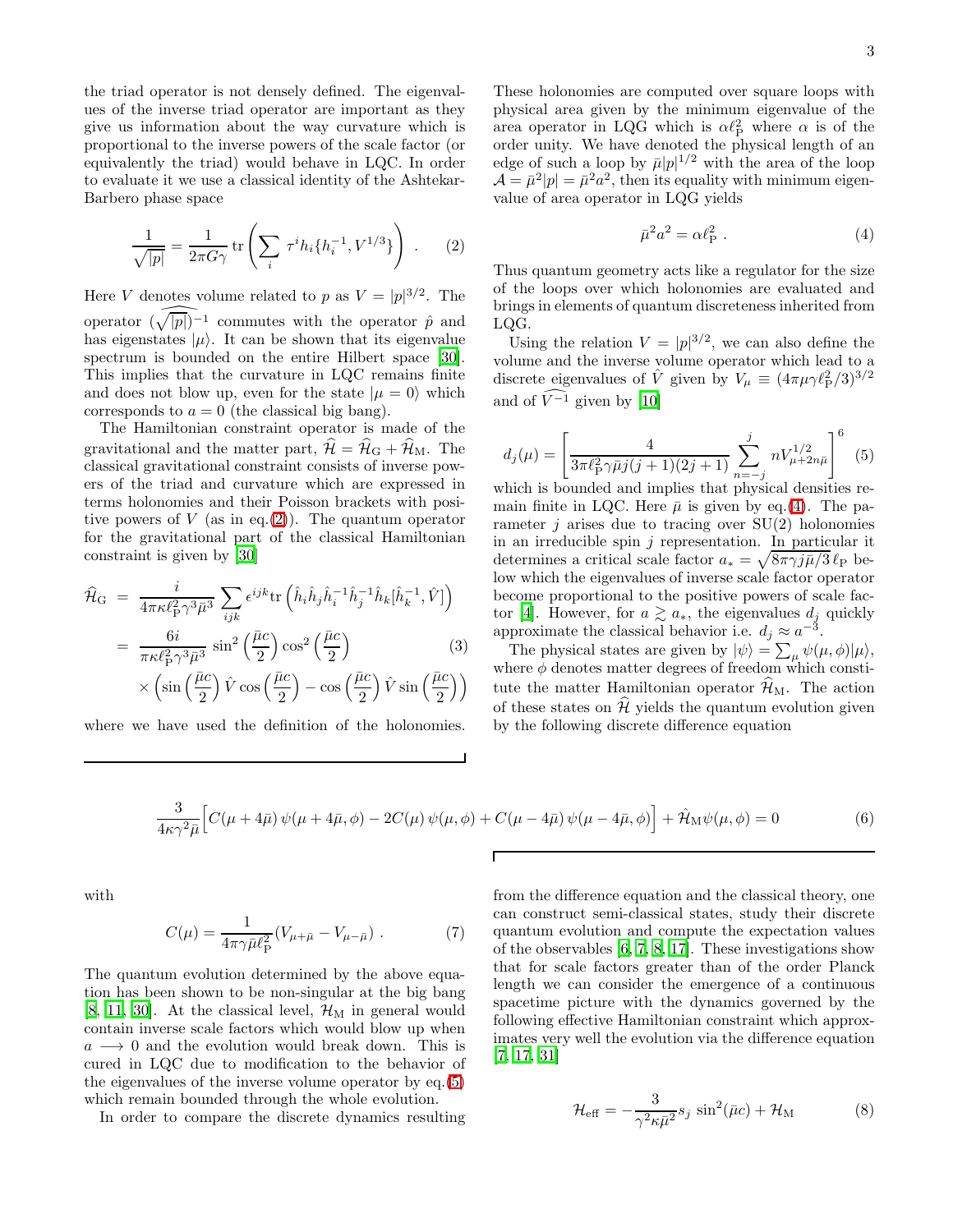the triad operator is not densely defined. The eigenvalues of the inverse triad operator are important as they give us information about the way curvature which is proportional to the inverse powers of the scale factor (or equivalently the triad) would behave in LQC. In order to evaluate it we use a classical identity of the Ashtekar-Barbero phase space

<span id="page-3-0"></span>
$$
\frac{1}{\sqrt{|p|}} = \frac{1}{2\pi G\gamma} \text{tr}\left(\sum_{i} \tau^{i} h_{i} \{h_{i}^{-1}, V^{1/3}\}\right) . \tag{2}
$$

Here V denotes volume related to p as  $V = |p|^{3/2}$ . The operator  $(\widehat{\sqrt{|p|}})^{-1}$  commutes with the operator  $\hat{p}$  and has eigenstates  $|\mu\rangle$ . It can be shown that its eigenvalue spectrum is bounded on the entire Hilbert space [\[30\]](#page-9-28). This implies that the curvature in LQC remains finite and does not blow up, even for the state  $|\mu = 0\rangle$  which corresponds to  $a = 0$  (the classical big bang).

The Hamiltonian constraint operator is made of the gravitational and the matter part,  $\mathcal{H} = \mathcal{H}_{G} + \mathcal{H}_{M}$ . The classical gravitational constraint consists of inverse powers of the triad and curvature which are expressed in terms holonomies and their Poisson brackets with positive powers of  $V$  (as in eq.[\(2\)](#page-3-0)). The quantum operator for the gravitational part of the classical Hamiltonian constraint is given by [\[30\]](#page-9-28)

$$
\hat{\mathcal{H}}_{\rm G} = \frac{i}{4\pi\kappa\ell_{\rm P}^2 \gamma^3 \bar{\mu}^3} \sum_{ijk} \epsilon^{ijk} {\rm tr} \left( \hat{h}_i \hat{h}_j \hat{h}_i^{-1} \hat{h}_j^{-1} \hat{h}_k [\hat{h}_k^{-1}, \hat{V}] \right)
$$

$$
= \frac{6i}{\pi\kappa\ell_{\rm P}^2 \gamma^3 \bar{\mu}^3} \sin^2 \left( \frac{\bar{\mu}c}{2} \right) \cos^2 \left( \frac{\bar{\mu}c}{2} \right) \tag{3}
$$

$$
\times \left( \sin\left(\frac{\bar{\mu}c}{2}\right) \hat{V} \cos\left(\frac{\bar{\mu}c}{2}\right) - \cos\left(\frac{\bar{\mu}c}{2}\right) \hat{V} \sin\left(\frac{\bar{\mu}c}{2}\right) \right)
$$

where we have used the definition of the holonomies.

These holonomies are computed over square loops with physical area given by the minimum eigenvalue of the area operator in LQG which is  $\alpha l_P^2$  where  $\alpha$  is of the order unity. We have denoted the physical length of an edge of such a loop by  $\bar{\mu}|p|^{1/2}$  with the area of the loop  $\mathcal{A} = \bar{\mu}^2 |p| = \bar{\mu}^2 a^2$ , then its equality with minimum eigenvalue of area operator in LQG yields

<span id="page-3-1"></span>
$$
\bar{\mu}^2 a^2 = \alpha \ell_{\rm P}^2 \ . \tag{4}
$$

Thus quantum geometry acts like a regulator for the size of the loops over which holonomies are evaluated and brings in elements of quantum discreteness inherited from LQG.

<span id="page-3-2"></span>Using the relation  $V = |p|^{3/2}$ , we can also define the volume and the inverse volume operator which lead to a discrete eigenvalues of  $\hat{V}$  given by  $V_{\mu} \equiv (4\pi\mu\gamma\ell_{\rm P}^2/3)^{3/2}$ and of  $\widehat{V}^{-1}$  given by [\[10\]](#page-9-9)

$$
d_j(\mu) = \left[ \frac{4}{3\pi \ell_{\rm P}^2 \gamma \bar{\mu} j (j+1)(2j+1)} \sum_{n=-j}^j n V_{\mu+2n\bar{\mu}}^{1/2} \right]^6 \tag{5}
$$

which is bounded and implies that physical densities remain finite in LQC. Here  $\bar{\mu}$  is given by eq.[\(4\)](#page-3-1). The parameter  $j$  arises due to tracing over  $SU(2)$  holonomies in an irreducible spin  $j$  representation. In particular it determines a critical scale factor  $a_* = \sqrt{8\pi\gamma j\bar{\mu}/3} \ell_P$  below which the eigenvalues of inverse scale factor operator become proportional to the positive powers of scale fac-tor [\[4](#page-9-3)]. However, for  $a \gtrsim a_*$ , the eigenvalues  $d_j$  quickly approximate the classical behavior i.e.  $d_j \approx a^{-3}$ .

The physical states are given by  $|\psi\rangle = \sum_{\mu} \psi(\mu, \phi) |\mu\rangle$ , where  $\phi$  denotes matter degrees of freedom which constitute the matter Hamiltonian operator  $\mathcal{H}_{M}$ . The action of these states on  $\mathcal H$  yields the quantum evolution given by the following discrete difference equation

$$
\frac{3}{4\kappa\gamma^2\bar{\mu}} \Big[ C(\mu + 4\bar{\mu})\,\psi(\mu + 4\bar{\mu}, \phi) - 2C(\mu)\,\psi(\mu, \phi) + C(\mu - 4\bar{\mu})\,\psi(\mu - 4\bar{\mu}, \phi) \Big] + \hat{\mathcal{H}}_M\psi(\mu, \phi) = 0 \tag{6}
$$

Г

with

$$
C(\mu) = \frac{1}{4\pi\gamma\bar{\mu}\ell_{\rm P}^2} (V_{\mu+\bar{\mu}} - V_{\mu-\bar{\mu}}) \ . \tag{7}
$$

The quantum evolution determined by the above equation has been shown to be non-singular at the big bang [\[8,](#page-9-7) [11,](#page-9-10) [30\]](#page-9-28). At the classical level,  $\mathcal{H}_{\text{M}}$  in general would contain inverse scale factors which would blow up when  $a \rightarrow 0$  and the evolution would break down. This is cured in LQC due to modification to the behavior of the eigenvalues of the inverse volume operator by eq.[\(5\)](#page-3-2) which remain bounded through the whole evolution.

In order to compare the discrete dynamics resulting

from the difference equation and the classical theory, one can construct semi-classical states, study their discrete quantum evolution and compute the expectation values of the observables [\[6](#page-9-5), [7,](#page-9-6) [8](#page-9-7), [17\]](#page-9-16). These investigations show that for scale factors greater than of the order Planck length we can consider the emergence of a continuous spacetime picture with the dynamics governed by the following effective Hamiltonian constraint which approximates very well the evolution via the difference equation [\[7,](#page-9-6) [17,](#page-9-16) [31\]](#page-9-29)

<span id="page-3-3"></span>
$$
\mathcal{H}_{\text{eff}} = -\frac{3}{\gamma^2 \kappa \bar{\mu}^2} s_j \sin^2(\bar{\mu}c) + \mathcal{H}_{\text{M}} \tag{8}
$$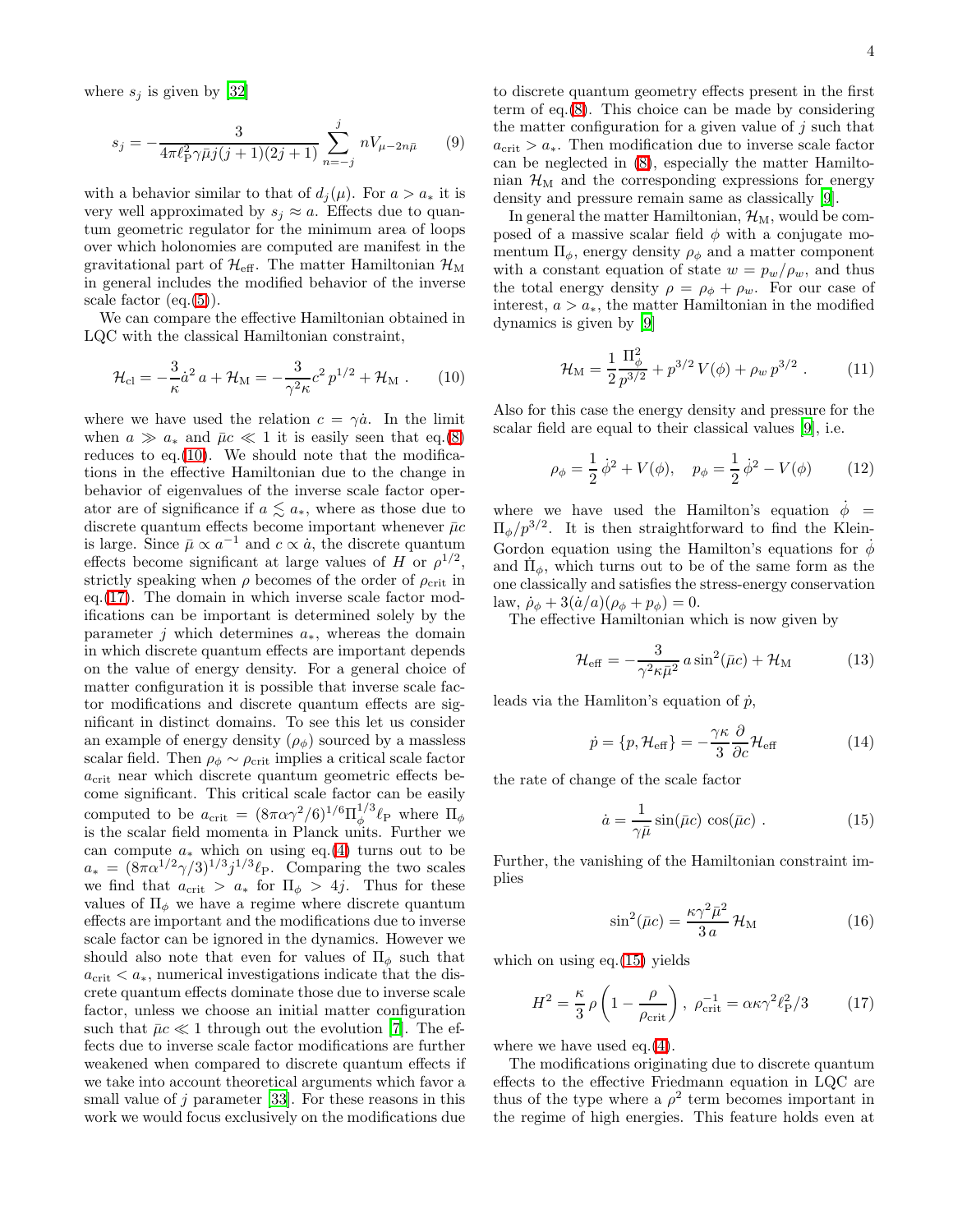where  $s_j$  is given by [\[32\]](#page-9-30)

$$
s_j = -\frac{3}{4\pi \ell_{\rm P}^2 \gamma \bar{\mu} j(j+1)(2j+1)} \sum_{n=-j}^j nV_{\mu-2n\bar{\mu}} \qquad (9)
$$

with a behavior similar to that of  $d_i(\mu)$ . For  $a > a_*$  it is very well approximated by  $s_i \approx a$ . Effects due to quantum geometric regulator for the minimum area of loops over which holonomies are computed are manifest in the gravitational part of  $\mathcal{H}_{\text{eff}}$ . The matter Hamiltonian  $\mathcal{H}_{\text{M}}$ in general includes the modified behavior of the inverse scale factor  $(eq.(5))$  $(eq.(5))$  $(eq.(5))$ .

We can compare the effective Hamiltonian obtained in LQC with the classical Hamiltonian constraint,

<span id="page-4-0"></span>
$$
\mathcal{H}_{\rm cl} = -\frac{3}{\kappa} \dot{a}^2 a + \mathcal{H}_{\rm M} = -\frac{3}{\gamma^2 \kappa} c^2 p^{1/2} + \mathcal{H}_{\rm M} . \qquad (10)
$$

where we have used the relation  $c = \gamma \dot{a}$ . In the limit when  $a \gg a_*$  and  $\bar{\mu}c \ll 1$  it is easily seen that eq.[\(8\)](#page-3-3) reduces to eq.[\(10\)](#page-4-0). We should note that the modifications in the effective Hamiltonian due to the change in behavior of eigenvalues of the inverse scale factor operator are of significance if  $a \lesssim a_*$ , where as those due to discrete quantum effects become important whenever  $\bar{\mu}c$ is large. Since  $\bar{\mu} \propto a^{-1}$  and  $c \propto a$ , the discrete quantum effects become significant at large values of H or  $\rho^{1/2}$ , strictly speaking when  $\rho$  becomes of the order of  $\rho_{\rm crit}$  in eq.[\(17\)](#page-4-1). The domain in which inverse scale factor modifications can be important is determined solely by the parameter j which determines  $a_*$ , whereas the domain in which discrete quantum effects are important depends on the value of energy density. For a general choice of matter configuration it is possible that inverse scale factor modifications and discrete quantum effects are significant in distinct domains. To see this let us consider an example of energy density  $(\rho_{\phi})$  sourced by a massless scalar field. Then  $\rho_{\phi} \sim \rho_{\rm crit}$  implies a critical scale factor  $a_{\text{crit}}$  near which discrete quantum geometric effects become significant. This critical scale factor can be easily computed to be  $a_{\text{crit}} = (8\pi\alpha\gamma^2/6)^{1/6}\Pi_{\phi}^{1/3}$  $\int_{\phi}^{1/3} \ell_{\rm P}$  where  $\Pi_{\phi}$ is the scalar field momenta in Planck units. Further we can compute  $a_*$  which on using eq.[\(4\)](#page-3-1) turns out to be  $a_* = (8\pi\alpha^{1/2}\gamma/3)^{1/3}j^{1/3}\ell_P$ . Comparing the two scales we find that  $a_{\text{crit}} > a_*$  for  $\Pi_{\phi} > 4j$ . Thus for these values of  $\Pi_{\phi}$  we have a regime where discrete quantum effects are important and the modifications due to inverse scale factor can be ignored in the dynamics. However we should also note that even for values of  $\Pi_{\phi}$  such that  $a_{\rm crit} < a_*$ , numerical investigations indicate that the discrete quantum effects dominate those due to inverse scale factor, unless we choose an initial matter configuration such that  $\bar{\mu}c \ll 1$  through out the evolution [\[7](#page-9-6)]. The effects due to inverse scale factor modifications are further weakened when compared to discrete quantum effects if we take into account theoretical arguments which favor a small value of j parameter [\[33](#page-9-31)]. For these reasons in this work we would focus exclusively on the modifications due

to discrete quantum geometry effects present in the first term of eq.[\(8\)](#page-3-3). This choice can be made by considering the matter configuration for a given value of  $j$  such that  $a_{\text{crit}} > a_*$ . Then modification due to inverse scale factor can be neglected in [\(8\)](#page-3-3), especially the matter Hamiltonian  $\mathcal{H}_{\text{M}}$  and the corresponding expressions for energy density and pressure remain same as classically [\[9](#page-9-8)].

In general the matter Hamiltonian,  $\mathcal{H}_{M}$ , would be composed of a massive scalar field  $\phi$  with a conjugate momentum  $\Pi_{\phi}$ , energy density  $\rho_{\phi}$  and a matter component with a constant equation of state  $w = p_w/\rho_w$ , and thus the total energy density  $\rho = \rho_{\phi} + \rho_{w}$ . For our case of interest,  $a > a_*$ , the matter Hamiltonian in the modified dynamics is given by [\[9\]](#page-9-8)

<span id="page-4-3"></span>
$$
\mathcal{H}_{\rm M} = \frac{1}{2} \frac{\Pi_{\phi}^2}{p^{3/2}} + p^{3/2} V(\phi) + \rho_w p^{3/2} . \tag{11}
$$

Also for this case the energy density and pressure for the scalar field are equal to their classical values [\[9\]](#page-9-8), i.e.

$$
\rho_{\phi} = \frac{1}{2} \dot{\phi}^2 + V(\phi), \quad p_{\phi} = \frac{1}{2} \dot{\phi}^2 - V(\phi) \tag{12}
$$

where we have used the Hamilton's equation  $\phi =$  $\Pi_{\phi}/p^{3/2}$ . It is then straightforward to find the Klein-Gordon equation using the Hamilton's equations for  $\phi$ and  $\Pi_{\phi}$ , which turns out to be of the same form as the one classically and satisfies the stress-energy conservation law,  $\dot{\rho}_{\phi} + 3(\dot{a}/a)(\rho_{\phi} + p_{\phi}) = 0.$ 

The effective Hamiltonian which is now given by

$$
\mathcal{H}_{\text{eff}} = -\frac{3}{\gamma^2 \kappa \bar{\mu}^2} a \sin^2(\bar{\mu}c) + \mathcal{H}_{\text{M}} \tag{13}
$$

leads via the Hamliton's equation of  $\dot{p}$ ,

<span id="page-4-2"></span>
$$
\dot{p} = \{p, \mathcal{H}_{\text{eff}}\} = -\frac{\gamma \kappa}{3} \frac{\partial}{\partial c} \mathcal{H}_{\text{eff}} \tag{14}
$$

the rate of change of the scale factor

$$
\dot{a} = \frac{1}{\gamma \bar{\mu}} \sin(\bar{\mu}c) \cos(\bar{\mu}c) . \qquad (15)
$$

Further, the vanishing of the Hamiltonian constraint implies

<span id="page-4-1"></span>
$$
\sin^2(\bar{\mu}c) = \frac{\kappa \gamma^2 \bar{\mu}^2}{3 a} \mathcal{H}_{\rm M}
$$
 (16)

which on using eq.  $(15)$  yields

$$
H^2 = \frac{\kappa}{3} \rho \left( 1 - \frac{\rho}{\rho_{\rm crit}} \right), \ \rho_{\rm crit}^{-1} = \alpha \kappa \gamma^2 \ell_{\rm P}^2 / 3 \tag{17}
$$

where we have used eq.[\(4\)](#page-3-1).

The modifications originating due to discrete quantum effects to the effective Friedmann equation in LQC are thus of the type where a  $\rho^2$  term becomes important in the regime of high energies. This feature holds even at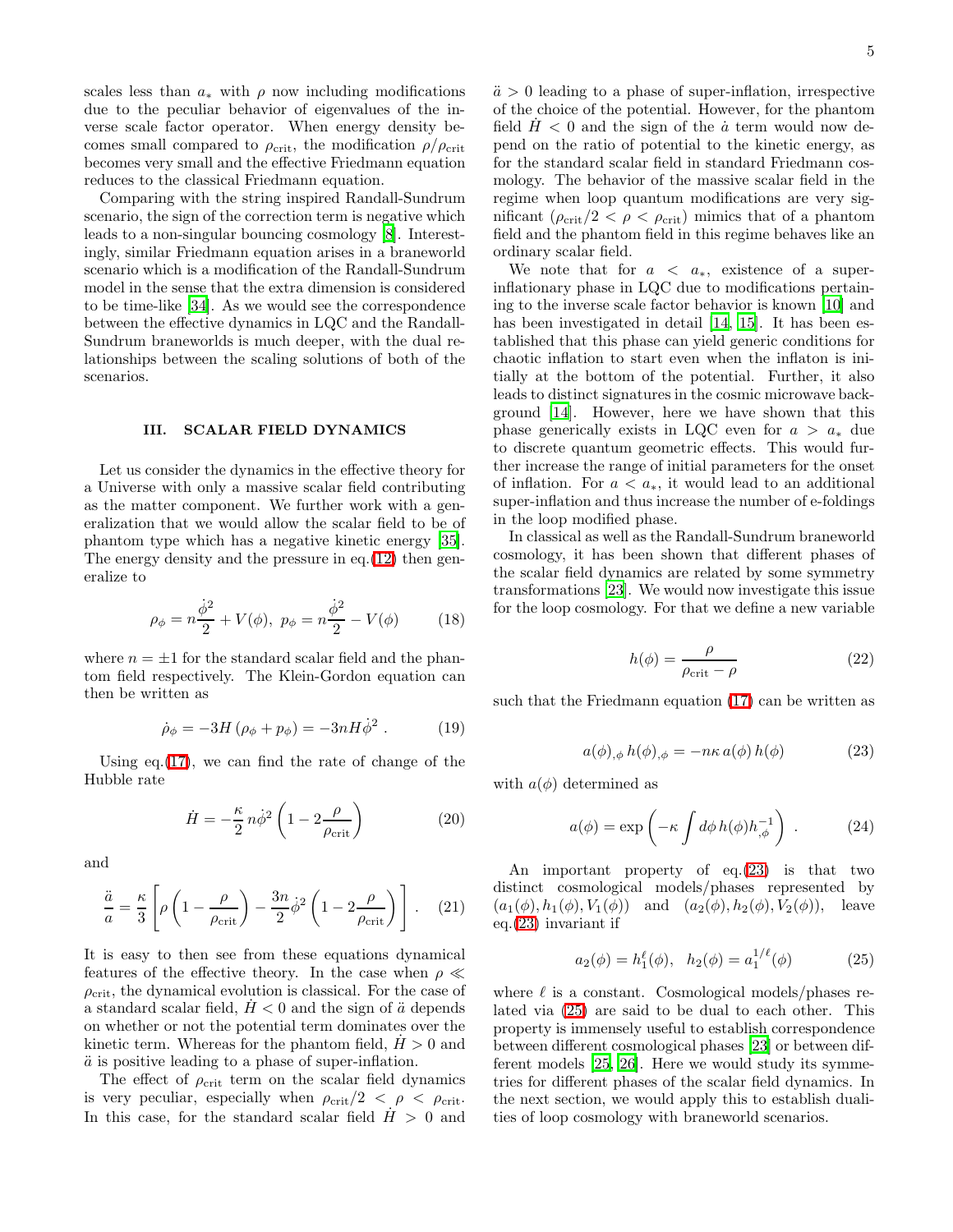scales less than  $a_*$  with  $\rho$  now including modifications due to the peculiar behavior of eigenvalues of the inverse scale factor operator. When energy density becomes small compared to  $\rho_{\rm crit}$ , the modification  $\rho/\rho_{\rm crit}$ becomes very small and the effective Friedmann equation reduces to the classical Friedmann equation.

Comparing with the string inspired Randall-Sundrum scenario, the sign of the correction term is negative which leads to a non-singular bouncing cosmology [\[8\]](#page-9-7). Interestingly, similar Friedmann equation arises in a braneworld scenario which is a modification of the Randall-Sundrum model in the sense that the extra dimension is considered to be time-like [\[34\]](#page-9-32). As we would see the correspondence between the effective dynamics in LQC and the Randall-Sundrum braneworlds is much deeper, with the dual relationships between the scaling solutions of both of the scenarios.

#### III. SCALAR FIELD DYNAMICS

Let us consider the dynamics in the effective theory for a Universe with only a massive scalar field contributing as the matter component. We further work with a generalization that we would allow the scalar field to be of phantom type which has a negative kinetic energy [\[35\]](#page-9-33). The energy density and the pressure in eq. [\(12\)](#page-4-3) then generalize to

$$
\rho_{\phi} = n \frac{\dot{\phi}^2}{2} + V(\phi), \ p_{\phi} = n \frac{\dot{\phi}^2}{2} - V(\phi) \tag{18}
$$

<span id="page-5-3"></span>where  $n = \pm 1$  for the standard scalar field and the phantom field respectively. The Klein-Gordon equation can then be written as

$$
\dot{\rho}_{\phi} = -3H(\rho_{\phi} + p_{\phi}) = -3nH\dot{\phi}^{2}.
$$
 (19)

Using  $eq.(17)$  $eq.(17)$ , we can find the rate of change of the Hubble rate

$$
\dot{H} = -\frac{\kappa}{2} n \dot{\phi}^2 \left( 1 - 2 \frac{\rho}{\rho_{\rm crit}} \right) \tag{20}
$$

and

$$
\frac{\ddot{a}}{a} = \frac{\kappa}{3} \left[ \rho \left( 1 - \frac{\rho}{\rho_{\text{crit}}} \right) - \frac{3n}{2} \dot{\phi}^2 \left( 1 - 2 \frac{\rho}{\rho_{\text{crit}}} \right) \right].
$$
 (21)

It is easy to then see from these equations dynamical features of the effective theory. In the case when  $\rho \ll$  $\rho_{\rm crit}$ , the dynamical evolution is classical. For the case of a standard scalar field,  $H < 0$  and the sign of  $\ddot{a}$  depends on whether or not the potential term dominates over the kinetic term. Whereas for the phantom field,  $H > 0$  and  $\ddot{a}$  is positive leading to a phase of super-inflation.

The effect of  $\rho_{\rm crit}$  term on the scalar field dynamics is very peculiar, especially when  $\rho_{\rm crit}/2 < \rho < \rho_{\rm crit}$ . In this case, for the standard scalar field  $H > 0$  and  $\ddot{a} > 0$  leading to a phase of super-inflation, irrespective of the choice of the potential. However, for the phantom field  $H < 0$  and the sign of the  $\dot{a}$  term would now depend on the ratio of potential to the kinetic energy, as for the standard scalar field in standard Friedmann cosmology. The behavior of the massive scalar field in the regime when loop quantum modifications are very significant ( $\rho_{\rm crit}/2 < \rho < \rho_{\rm crit}$ ) mimics that of a phantom field and the phantom field in this regime behaves like an ordinary scalar field.

We note that for  $a < a_*$ , existence of a superinflationary phase in LQC due to modifications pertaining to the inverse scale factor behavior is known [\[10](#page-9-9)] and has been investigated in detail [\[14](#page-9-13), [15](#page-9-14)]. It has been established that this phase can yield generic conditions for chaotic inflation to start even when the inflaton is initially at the bottom of the potential. Further, it also leads to distinct signatures in the cosmic microwave background [\[14](#page-9-13)]. However, here we have shown that this phase generically exists in LQC even for  $a > a_*$  due to discrete quantum geometric effects. This would further increase the range of initial parameters for the onset of inflation. For  $a < a_*$ , it would lead to an additional super-inflation and thus increase the number of e-foldings in the loop modified phase.

In classical as well as the Randall-Sundrum braneworld cosmology, it has been shown that different phases of the scalar field dynamics are related by some symmetry transformations [\[23\]](#page-9-21). We would now investigate this issue for the loop cosmology. For that we define a new variable

$$
h(\phi) = \frac{\rho}{\rho_{\rm crit} - \rho} \tag{22}
$$

<span id="page-5-0"></span>such that the Friedmann equation [\(17\)](#page-4-1) can be written as

<span id="page-5-2"></span>
$$
a(\phi)_{,\phi} h(\phi)_{,\phi} = -n\kappa a(\phi) h(\phi) \tag{23}
$$

with  $a(\phi)$  determined as

$$
a(\phi) = \exp\left(-\kappa \int d\phi \, h(\phi) h_{,\phi}^{-1}\right) \,. \tag{24}
$$

<span id="page-5-1"></span>An important property of eq.[\(23\)](#page-5-0) is that two distinct cosmological models/phases represented by  $(a_1(\phi), h_1(\phi), V_1(\phi))$  and  $(a_2(\phi), h_2(\phi), V_2(\phi))$ , leave eq.[\(23\)](#page-5-0) invariant if

$$
a_2(\phi) = h_1^{\ell}(\phi), \quad h_2(\phi) = a_1^{1/\ell}(\phi) \tag{25}
$$

where  $\ell$  is a constant. Cosmological models/phases related via [\(25\)](#page-5-1) are said to be dual to each other. This property is immensely useful to establish correspondence between different cosmological phases [\[23](#page-9-21)] or between different models [\[25,](#page-9-23) [26](#page-9-24)]. Here we would study its symmetries for different phases of the scalar field dynamics. In the next section, we would apply this to establish dualities of loop cosmology with braneworld scenarios.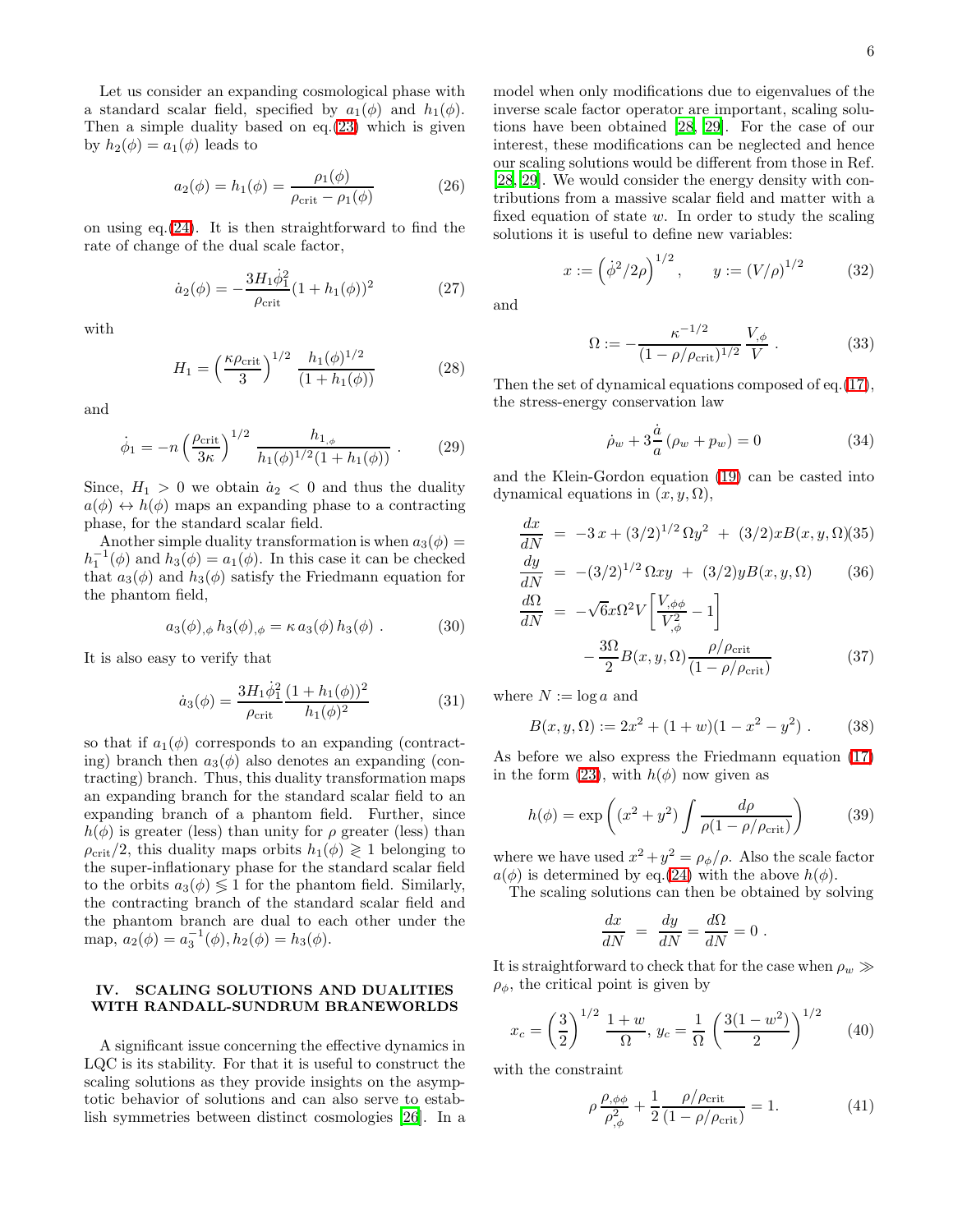Let us consider an expanding cosmological phase with a standard scalar field, specified by  $a_1(\phi)$  and  $h_1(\phi)$ . Then a simple duality based on eq.[\(23\)](#page-5-0) which is given by  $h_2(\phi) = a_1(\phi)$  leads to

$$
a_2(\phi) = h_1(\phi) = \frac{\rho_1(\phi)}{\rho_{\text{crit}} - \rho_1(\phi)}
$$
 (26)

on using eq. $(24)$ . It is then straightforward to find the rate of change of the dual scale factor,

$$
\dot{a}_2(\phi) = -\frac{3H_1\dot{\phi}_1^2}{\rho_{\text{crit}}} (1 + h_1(\phi))^2
$$
 (27)

with

$$
H_1 = \left(\frac{\kappa \rho_{\rm crit}}{3}\right)^{1/2} \frac{h_1(\phi)^{1/2}}{(1 + h_1(\phi))}
$$
 (28)

and

$$
\dot{\phi}_1 = -n \left(\frac{\rho_{\rm crit}}{3\kappa}\right)^{1/2} \frac{h_{1,\phi}}{h_1(\phi)^{1/2}(1+h_1(\phi))} \ . \tag{29}
$$

Since,  $H_1 > 0$  we obtain  $\dot{a}_2 < 0$  and thus the duality  $a(\phi) \leftrightarrow h(\phi)$  maps an expanding phase to a contracting phase, for the standard scalar field.

Another simple duality transformation is when  $a_3(\phi) =$  $h_1^{-1}(\phi)$  and  $h_3(\phi) = a_1(\phi)$ . In this case it can be checked that  $a_3(\phi)$  and  $h_3(\phi)$  satisfy the Friedmann equation for the phantom field,

$$
a_3(\phi)_{,\phi} h_3(\phi)_{,\phi} = \kappa a_3(\phi) h_3(\phi) . \tag{30}
$$

It is also easy to verify that

$$
\dot{a}_3(\phi) = \frac{3H_1\dot{\phi}_1^2}{\rho_{\rm crit}} \frac{(1+h_1(\phi))^2}{h_1(\phi)^2} \tag{31}
$$

so that if  $a_1(\phi)$  corresponds to an expanding (contracting) branch then  $a_3(\phi)$  also denotes an expanding (contracting) branch. Thus, this duality transformation maps an expanding branch for the standard scalar field to an expanding branch of a phantom field. Further, since  $h(\phi)$  is greater (less) than unity for  $\rho$  greater (less) than  $\rho_{\rm crit}/2$ , this duality maps orbits  $h_1(\phi) \geq 1$  belonging to the super-inflationary phase for the standard scalar field to the orbits  $a_3(\phi) \leq 1$  for the phantom field. Similarly, the contracting branch of the standard scalar field and the phantom branch are dual to each other under the map,  $a_2(\phi) = a_3^{-1}(\phi), h_2(\phi) = h_3(\phi)$ .

## IV. SCALING SOLUTIONS AND DUALITIES WITH RANDALL-SUNDRUM BRANEWORLDS

A significant issue concerning the effective dynamics in LQC is its stability. For that it is useful to construct the scaling solutions as they provide insights on the asymptotic behavior of solutions and can also serve to establish symmetries between distinct cosmologies [\[26](#page-9-24)]. In a model when only modifications due to eigenvalues of the inverse scale factor operator are important, scaling solutions have been obtained [\[28,](#page-9-26) [29](#page-9-27)]. For the case of our interest, these modifications can be neglected and hence our scaling solutions would be different from those in Ref. [\[28,](#page-9-26) [29\]](#page-9-27). We would consider the energy density with contributions from a massive scalar field and matter with a fixed equation of state  $w$ . In order to study the scaling solutions it is useful to define new variables:

$$
x := \left(\dot{\phi}^2/2\rho\right)^{1/2}, \qquad y := \left(V/\rho\right)^{1/2} \tag{32}
$$

<span id="page-6-3"></span>and

$$
\Omega := -\frac{\kappa^{-1/2}}{(1 - \rho/\rho_{\rm crit})^{1/2}} \frac{V_{,\phi}}{V} . \tag{33}
$$

Then the set of dynamical equations composed of eq.[\(17\)](#page-4-1), the stress-energy conservation law

$$
\dot{\rho}_w + 3\frac{\dot{a}}{a}(\rho_w + p_w) = 0
$$
\n(34)

<span id="page-6-1"></span>and the Klein-Gordon equation [\(19\)](#page-5-3) can be casted into dynamical equations in  $(x, y, \Omega)$ ,

$$
\frac{dx}{dN} = -3x + (3/2)^{1/2} \Omega y^2 + (3/2)xB(x, y, \Omega)(35)
$$
  

$$
\frac{dy}{dY} = (3/2)^{1/2} \Omega + (3/2)^{1/2} \Omega (36) + (3/2)^{1/2} \Omega (37) + (3/2)^{1/2} \Omega (37)
$$

$$
\frac{dy}{dN} = -(3/2)^{1/2} \Omega xy + (3/2) y B(x, y, \Omega) \qquad (36)
$$
  

$$
\frac{d\Omega}{d\Omega} = 2.2 \times \left[ V_{\phi\phi} \right] \qquad (37)
$$

$$
\frac{d\Omega}{dN} = -\sqrt{6}x\Omega^2 V \left[\frac{V_{,\phi\phi}}{V_{,\phi}^2} - 1\right] -\frac{3\Omega}{2}B(x, y, \Omega)\frac{\rho/\rho_{\text{crit}}}{(1 - \rho/\rho_{\text{crit}})}\tag{37}
$$

where  $N := \log a$  and

<span id="page-6-4"></span>
$$
B(x, y, \Omega) := 2x^{2} + (1 + w)(1 - x^{2} - y^{2}).
$$
 (38)

As before we also express the Friedmann equation [\(17\)](#page-4-1) in the form [\(23\)](#page-5-0), with  $h(\phi)$  now given as

$$
h(\phi) = \exp\left( (x^2 + y^2) \int \frac{d\rho}{\rho(1 - \rho/\rho_{\rm crit})} \right) \tag{39}
$$

where we have used  $x^2 + y^2 = \rho_{\phi}/\rho$ . Also the scale factor  $a(\phi)$  is determined by eq.[\(24\)](#page-5-2) with the above  $h(\phi)$ .

The scaling solutions can then be obtained by solving

<span id="page-6-2"></span>
$$
\frac{dx}{dN} = \frac{dy}{dN} = \frac{d\Omega}{dN} = 0.
$$

It is straightforward to check that for the case when  $\rho_w \gg$  $\rho_{\phi}$ , the critical point is given by

$$
c_c = \left(\frac{3}{2}\right)^{1/2} \frac{1+w}{\Omega}, \ y_c = \frac{1}{\Omega} \left(\frac{3(1-w^2)}{2}\right)^{1/2} \tag{40}
$$

with the constraint

<span id="page-6-0"></span> $\alpha$ 

$$
\rho \frac{\rho_{,\phi\phi}}{\rho_{,\phi}^2} + \frac{1}{2} \frac{\rho/\rho_{\rm crit}}{(1 - \rho/\rho_{\rm crit})} = 1.
$$
 (41)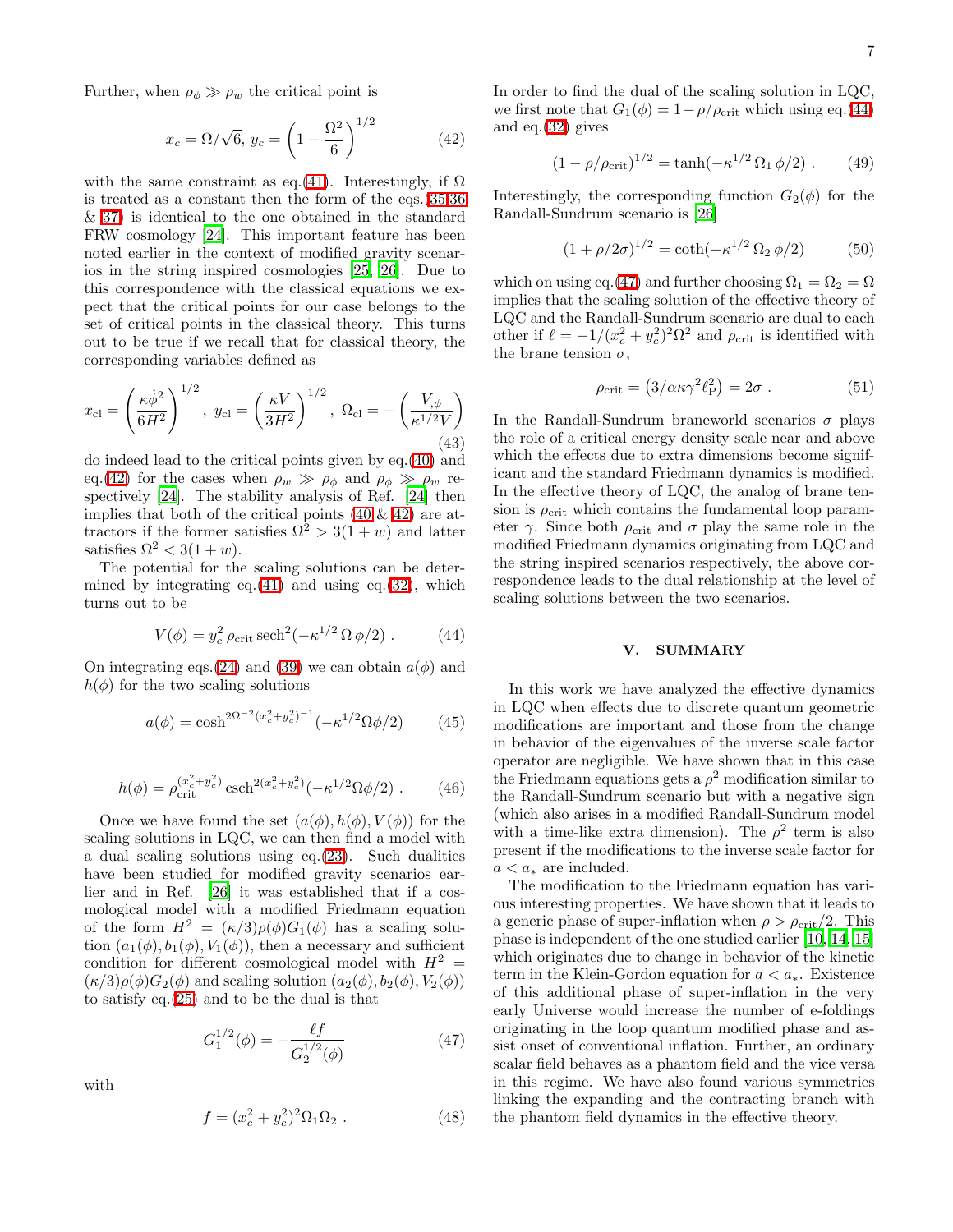Further, when  $\rho_{\phi} \gg \rho_{w}$  the critical point is

<span id="page-7-0"></span>
$$
x_c = \Omega / \sqrt{6}, \ y_c = \left(1 - \frac{\Omega^2}{6}\right)^{1/2} \tag{42}
$$

with the same constraint as eq.[\(41\)](#page-6-0). Interestingly, if  $\Omega$ is treated as a constant then the form of the eqs.[\(35,36](#page-6-1) & [37\)](#page-6-1) is identical to the one obtained in the standard FRW cosmology [\[24\]](#page-9-22). This important feature has been noted earlier in the context of modified gravity scenarios in the string inspired cosmologies [\[25](#page-9-23), [26\]](#page-9-24). Due to this correspondence with the classical equations we expect that the critical points for our case belongs to the set of critical points in the classical theory. This turns out to be true if we recall that for classical theory, the corresponding variables defined as

$$
x_{\rm cl} = \left(\frac{\kappa \dot{\phi}^2}{6H^2}\right)^{1/2}, \ y_{\rm cl} = \left(\frac{\kappa V}{3H^2}\right)^{1/2}, \ \Omega_{\rm cl} = -\left(\frac{V_{,\phi}}{\kappa^{1/2}V}\right)
$$
(43)

do indeed lead to the critical points given by eq.[\(40\)](#page-6-2) and eq.[\(42\)](#page-7-0) for the cases when  $\rho_w \gg \rho_\phi$  and  $\rho_\phi \gg \rho_w$  respectively [\[24\]](#page-9-22). The stability analysis of Ref. [\[24\]](#page-9-22) then implies that both of the critical points  $(40 \& 42)$  $(40 \& 42)$  are attractors if the former satisfies  $\Omega^2 > 3(1+w)$  and latter satisfies  $\Omega^2 < 3(1+w)$ .

<span id="page-7-1"></span>The potential for the scaling solutions can be determined by integrating eq. $(41)$  and using eq. $(32)$ , which turns out to be

$$
V(\phi) = y_c^2 \rho_{\rm crit} \operatorname{sech}^2(-\kappa^{1/2} \Omega \phi/2) \ . \tag{44}
$$

On integrating eqs. [\(24\)](#page-5-2) and [\(39\)](#page-6-4) we can obtain  $a(\phi)$  and  $h(\phi)$  for the two scaling solutions

$$
a(\phi) = \cosh^{2\Omega^{-2}(x_c^2 + y_c^2)^{-1}}(-\kappa^{1/2}\Omega\phi/2)
$$
 (45)

$$
h(\phi) = \rho_{\rm crit}^{(x_c^2 + y_c^2)} \operatorname{csch}^{2(x_c^2 + y_c^2)}(-\kappa^{1/2} \Omega \phi/2) \ . \tag{46}
$$

Once we have found the set  $(a(\phi), h(\phi), V(\phi))$  for the scaling solutions in LQC, we can then find a model with a dual scaling solutions using eq.[\(23\)](#page-5-0). Such dualities have been studied for modified gravity scenarios earlier and in Ref. [\[26](#page-9-24)] it was established that if a cosmological model with a modified Friedmann equation of the form  $H^2 = (\kappa/3)\rho(\phi)G_1(\phi)$  has a scaling solution  $(a_1(\phi), b_1(\phi), V_1(\phi))$ , then a necessary and sufficient condition for different cosmological model with  $H^2 =$  $(\kappa/3)\rho(\phi)G_2(\phi)$  and scaling solution  $(a_2(\phi), b_2(\phi), V_2(\phi))$ to satisfy eq.[\(25\)](#page-5-1) and to be the dual is that

<span id="page-7-2"></span>
$$
G_1^{1/2}(\phi) = -\frac{\ell f}{G_2^{1/2}(\phi)}\tag{47}
$$

with

$$
f = (x_c^2 + y_c^2)^2 \Omega_1 \Omega_2 . \tag{48}
$$

In order to find the dual of the scaling solution in LQC, we first note that  $G_1(\phi) = 1 - \rho/\rho_{\rm crit}$  which using eq.[\(44\)](#page-7-1) and eq.[\(32\)](#page-6-3) gives

$$
(1 - \rho/\rho_{\rm crit})^{1/2} = \tanh(-\kappa^{1/2} \Omega_1 \phi/2) \ . \tag{49}
$$

Interestingly, the corresponding function  $G_2(\phi)$  for the Randall-Sundrum scenario is [\[26\]](#page-9-24)

$$
(1 + \rho/2\sigma)^{1/2} = \coth(-\kappa^{1/2} \Omega_2 \phi/2)
$$
 (50)

which on using eq.[\(47\)](#page-7-2) and further choosing  $\Omega_1 = \Omega_2 = \Omega$ implies that the scaling solution of the effective theory of LQC and the Randall-Sundrum scenario are dual to each other if  $\ell = -1/(x_c^2 + y_c^2)^2 \Omega^2$  and  $\rho_{\rm crit}$  is identified with the brane tension  $\sigma$ ,

$$
\rho_{\rm crit} = \left(3/\alpha \kappa \gamma^2 \ell_{\rm P}^2\right) = 2\sigma \ . \tag{51}
$$

In the Randall-Sundrum braneworld scenarios  $\sigma$  plays the role of a critical energy density scale near and above which the effects due to extra dimensions become significant and the standard Friedmann dynamics is modified. In the effective theory of LQC, the analog of brane tension is  $\rho_{\rm crit}$  which contains the fundamental loop parameter  $\gamma$ . Since both  $\rho_{\rm crit}$  and  $\sigma$  play the same role in the modified Friedmann dynamics originating from LQC and the string inspired scenarios respectively, the above correspondence leads to the dual relationship at the level of scaling solutions between the two scenarios.

#### V. SUMMARY

In this work we have analyzed the effective dynamics in LQC when effects due to discrete quantum geometric modifications are important and those from the change in behavior of the eigenvalues of the inverse scale factor operator are negligible. We have shown that in this case the Friedmann equations gets a  $\rho^2$  modification similar to the Randall-Sundrum scenario but with a negative sign (which also arises in a modified Randall-Sundrum model with a time-like extra dimension). The  $\rho^2$  term is also present if the modifications to the inverse scale factor for  $a < a_*$  are included.

The modification to the Friedmann equation has various interesting properties. We have shown that it leads to a generic phase of super-inflation when  $\rho > \rho_{\rm crit}/2$ . This phase is independent of the one studied earlier [\[10,](#page-9-9) [14,](#page-9-13) [15](#page-9-14)] which originates due to change in behavior of the kinetic term in the Klein-Gordon equation for  $a < a_*$ . Existence of this additional phase of super-inflation in the very early Universe would increase the number of e-foldings originating in the loop quantum modified phase and assist onset of conventional inflation. Further, an ordinary scalar field behaves as a phantom field and the vice versa in this regime. We have also found various symmetries linking the expanding and the contracting branch with the phantom field dynamics in the effective theory.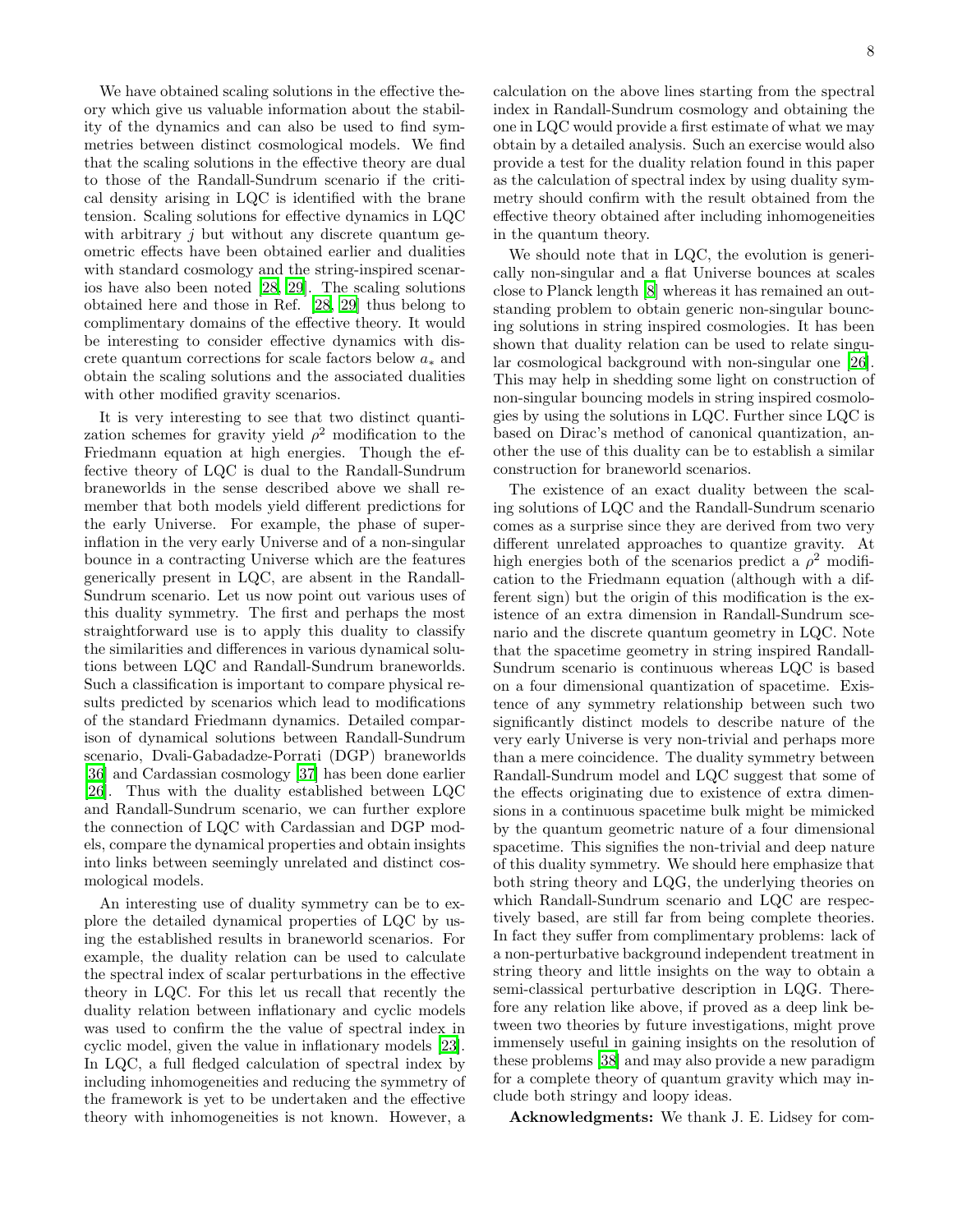We have obtained scaling solutions in the effective theory which give us valuable information about the stability of the dynamics and can also be used to find symmetries between distinct cosmological models. We find that the scaling solutions in the effective theory are dual to those of the Randall-Sundrum scenario if the critical density arising in LQC is identified with the brane tension. Scaling solutions for effective dynamics in LQC with arbitrary  $i$  but without any discrete quantum geometric effects have been obtained earlier and dualities with standard cosmology and the string-inspired scenarios have also been noted [\[28,](#page-9-26) [29](#page-9-27)]. The scaling solutions obtained here and those in Ref. [\[28](#page-9-26), [29\]](#page-9-27) thus belong to complimentary domains of the effective theory. It would be interesting to consider effective dynamics with discrete quantum corrections for scale factors below  $a_*$  and obtain the scaling solutions and the associated dualities with other modified gravity scenarios.

It is very interesting to see that two distinct quantization schemes for gravity yield  $\rho^2$  modification to the Friedmann equation at high energies. Though the effective theory of LQC is dual to the Randall-Sundrum braneworlds in the sense described above we shall remember that both models yield different predictions for the early Universe. For example, the phase of superinflation in the very early Universe and of a non-singular bounce in a contracting Universe which are the features generically present in LQC, are absent in the Randall-Sundrum scenario. Let us now point out various uses of this duality symmetry. The first and perhaps the most straightforward use is to apply this duality to classify the similarities and differences in various dynamical solutions between LQC and Randall-Sundrum braneworlds. Such a classification is important to compare physical results predicted by scenarios which lead to modifications of the standard Friedmann dynamics. Detailed comparison of dynamical solutions between Randall-Sundrum scenario, Dvali-Gabadadze-Porrati (DGP) braneworlds [\[36\]](#page-9-34) and Cardassian cosmology [\[37](#page-9-35)] has been done earlier [\[26\]](#page-9-24). Thus with the duality established between LQC and Randall-Sundrum scenario, we can further explore the connection of LQC with Cardassian and DGP models, compare the dynamical properties and obtain insights into links between seemingly unrelated and distinct cosmological models.

An interesting use of duality symmetry can be to explore the detailed dynamical properties of LQC by using the established results in braneworld scenarios. For example, the duality relation can be used to calculate the spectral index of scalar perturbations in the effective theory in LQC. For this let us recall that recently the duality relation between inflationary and cyclic models was used to confirm the the value of spectral index in cyclic model, given the value in inflationary models [\[23\]](#page-9-21). In LQC, a full fledged calculation of spectral index by including inhomogeneities and reducing the symmetry of the framework is yet to be undertaken and the effective theory with inhomogeneities is not known. However, a 8

calculation on the above lines starting from the spectral index in Randall-Sundrum cosmology and obtaining the one in LQC would provide a first estimate of what we may obtain by a detailed analysis. Such an exercise would also provide a test for the duality relation found in this paper as the calculation of spectral index by using duality symmetry should confirm with the result obtained from the effective theory obtained after including inhomogeneities in the quantum theory.

We should note that in LQC, the evolution is generically non-singular and a flat Universe bounces at scales close to Planck length [\[8\]](#page-9-7) whereas it has remained an outstanding problem to obtain generic non-singular bouncing solutions in string inspired cosmologies. It has been shown that duality relation can be used to relate singular cosmological background with non-singular one [\[26\]](#page-9-24). This may help in shedding some light on construction of non-singular bouncing models in string inspired cosmologies by using the solutions in LQC. Further since LQC is based on Dirac's method of canonical quantization, another the use of this duality can be to establish a similar construction for braneworld scenarios.

The existence of an exact duality between the scaling solutions of LQC and the Randall-Sundrum scenario comes as a surprise since they are derived from two very different unrelated approaches to quantize gravity. At high energies both of the scenarios predict a  $\rho^2$  modification to the Friedmann equation (although with a different sign) but the origin of this modification is the existence of an extra dimension in Randall-Sundrum scenario and the discrete quantum geometry in LQC. Note that the spacetime geometry in string inspired Randall-Sundrum scenario is continuous whereas LQC is based on a four dimensional quantization of spacetime. Existence of any symmetry relationship between such two significantly distinct models to describe nature of the very early Universe is very non-trivial and perhaps more than a mere coincidence. The duality symmetry between Randall-Sundrum model and LQC suggest that some of the effects originating due to existence of extra dimensions in a continuous spacetime bulk might be mimicked by the quantum geometric nature of a four dimensional spacetime. This signifies the non-trivial and deep nature of this duality symmetry. We should here emphasize that both string theory and LQG, the underlying theories on which Randall-Sundrum scenario and LQC are respectively based, are still far from being complete theories. In fact they suffer from complimentary problems: lack of a non-perturbative background independent treatment in string theory and little insights on the way to obtain a semi-classical perturbative description in LQG. Therefore any relation like above, if proved as a deep link between two theories by future investigations, might prove immensely useful in gaining insights on the resolution of these problems [\[38](#page-9-36)] and may also provide a new paradigm for a complete theory of quantum gravity which may include both stringy and loopy ideas.

Acknowledgments: We thank J. E. Lidsey for com-